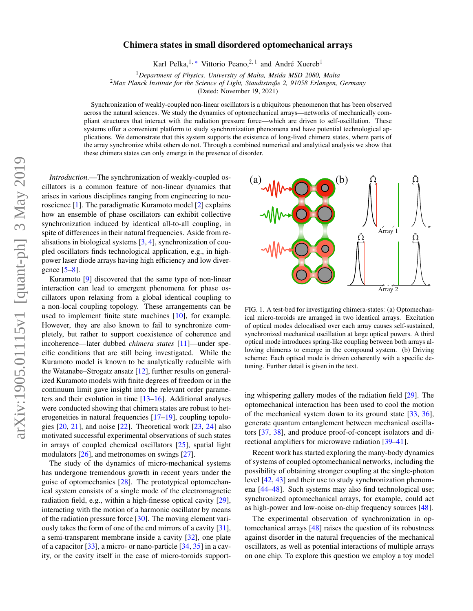## Chimera states in small disordered optomechanical arrays

Karl Pelka,<sup>1,\*</sup> Vittorio Peano,<sup>2,1</sup> and André Xuereb<sup>1</sup>

<sup>1</sup>*Department of Physics, University of Malta, Msida MSD 2080, Malta*

<sup>2</sup>*Max Planck Institute for the Science of Light, Staudtstraße 2, 91058 Erlangen, Germany*

(Dated: November 19, 2021)

Synchronization of weakly-coupled non-linear oscillators is a ubiquitous phenomenon that has been observed across the natural sciences. We study the dynamics of optomechanical arrays—networks of mechanically compliant structures that interact with the radiation pressure force—which are driven to self-oscillation. These systems offer a convenient platform to study synchronization phenomena and have potential technological applications. We demonstrate that this system supports the existence of long-lived chimera states, where parts of the array synchronize whilst others do not. Through a combined numerical and analytical analysis we show that these chimera states can only emerge in the presence of disorder.

*Introduction.*—The synchronization of weakly-coupled oscillators is a common feature of non-linear dynamics that arises in various disciplines ranging from engineering to neuroscience [\[1\]](#page-4-0). The paradigmatic Kuramoto model [\[2\]](#page-4-1) explains how an ensemble of phase oscillators can exhibit collective synchronization induced by identical all-to-all coupling, in spite of differences in their natural frequencies. Aside from realisations in biological systems [\[3,](#page-4-2) [4\]](#page-4-3), synchronization of coupled oscillators finds technological application, e.g., in highpower laser diode arrays having high efficiency and low divergence [\[5](#page-4-4)[–8\]](#page-4-5).

Kuramoto [\[9\]](#page-4-6) discovered that the same type of non-linear interaction can lead to emergent phenomena for phase oscillators upon relaxing from a global identical coupling to a non-local coupling topology. These arrangements can be used to implement finite state machines [\[10\]](#page-4-7), for example. However, they are also known to fail to synchronize completely, but rather to support coexistence of coherence and incoherence—later dubbed *chimera states* [\[11\]](#page-4-8)—under specific conditions that are still being investigated. While the Kuramoto model is known to be analytically reducible with the Watanabe–Strogatz ansatz [\[12\]](#page-4-9), further results on generalized Kuramoto models with finite degrees of freedom or in the continuum limit gave insight into the relevant order parameters and their evolution in time [\[13–](#page-4-10)[16\]](#page-4-11). Additional analyses were conducted showing that chimera states are robust to het-erogeneities in natural frequencies [\[17–](#page-4-12)[19\]](#page-4-13), coupling topologies  $[20, 21]$  $[20, 21]$  $[20, 21]$ , and noise  $[22]$ . Theoretical work  $[23, 24]$  $[23, 24]$  $[23, 24]$  also motivated successful experimental observations of such states in arrays of coupled chemical oscillators [\[25\]](#page-4-19), spatial light modulators [\[26\]](#page-4-20), and metronomes on swings [\[27\]](#page-4-21).

The study of the dynamics of micro-mechanical systems has undergone tremendous growth in recent years under the guise of optomechanics [\[28\]](#page-4-22). The prototypical optomechanical system consists of a single mode of the electromagnetic radiation field, e.g., within a high-finesse optical cavity [\[29\]](#page-4-23), interacting with the motion of a harmonic oscillator by means of the radiation pressure force [\[30\]](#page-4-24). The moving element variously takes the form of one of the end mirrors of a cavity [\[31\]](#page-4-25), a semi-transparent membrane inside a cavity [\[32\]](#page-4-26), one plate of a capacitor [\[33\]](#page-4-27), a micro- or nano-particle [\[34,](#page-4-28) [35\]](#page-4-29) in a cavity, or the cavity itself in the case of micro-toroids support-



<span id="page-0-0"></span>FIG. 1. A test-bed for investigating chimera-states: (a) Optomechanical micro-toroids are arranged in two identical arrays. Excitation of optical modes delocalised over each array causes self-sustained, synchronized mechanical oscillation at large optical powers. A third optical mode introduces spring-like coupling between both arrays allowing chimeras to emerge in the compound system. (b) Driving scheme: Each optical mode is driven coherently with a specific detuning. Further detail is given in the text.

ing whispering gallery modes of the radiation field [\[29\]](#page-4-23). The optomechanical interaction has been used to cool the motion of the mechanical system down to its ground state [\[33,](#page-4-27) [36\]](#page-4-30), generate quantum entanglement between mechanical oscillators [\[37,](#page-4-31) [38\]](#page-4-32), and produce proof-of-concept isolators and directional amplifiers for microwave radiation [\[39](#page-4-33)[–41\]](#page-4-34).

Recent work has started exploring the many-body dynamics of systems of coupled optomechanical networks, including the possibility of obtaining stronger coupling at the single-photon level [\[42,](#page-4-35) [43\]](#page-4-36) and their use to study synchronization phenomena [\[44](#page-4-37)[–48\]](#page-4-38). Such systems may also find technological use; synchronized optomechanical arrays, for example, could act as high-power and low-noise on-chip frequency sources [\[48\]](#page-4-38).

The experimental observation of synchronization in optomechanical arrays [\[48\]](#page-4-38) raises the question of its robustness against disorder in the natural frequencies of the mechanical oscillators, as well as potential interactions of multiple arrays on one chip. To explore this question we employ a toy model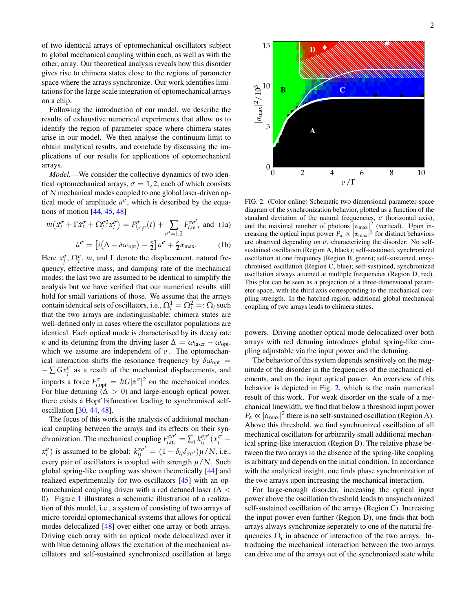of two identical arrays of optomechanical oscillators subject to global mechanical coupling within each, as well as with the other, array. Our theoretical analysis reveals how this disorder gives rise to chimera states close to the regions of parameter space where the arrays synchronize. Our work identifies limitations for the large scale integration of optomechanical arrays on a chip.

Following the introduction of our model, we describe the results of exhaustive numerical experiments that allow us to identify the region of parameter space where chimera states arise in our model. We then analyse the continuum limit to obtain analytical results, and conclude by discussing the implications of our results for applications of optomechanical arrays.

*Model.*—We consider the collective dynamics of two identical optomechanical arrays,  $\sigma = 1, 2$ , each of which consists of *N* mechanical modes coupled to one global laser-driven optical mode of amplitude  $\alpha^{\sigma}$ , which is described by the equations of motion [\[44,](#page-4-37) [45,](#page-4-39) [48\]](#page-4-38)

$$
m\left(\ddot{x}_i^{\sigma} + \Gamma \dot{x}_i^{\sigma} + \Omega_i^{\sigma 2} x_i^{\sigma}\right) = F_{i,\text{opt}}^{\sigma}(t) + \sum_{\sigma'=1,2} F_{i,\text{m}}^{\sigma \sigma'}
$$
, and (1a)

<span id="page-1-1"></span>
$$
\dot{\alpha}^{\sigma} = \left[ i(\Delta - \delta \omega_{\text{opt}}) - \frac{\kappa}{2} \right] \alpha^{\sigma} + \frac{\kappa}{2} \alpha_{\text{max}}.
$$
 (1b)

Here  $x_j^{\sigma}$ ,  $\Omega_i^{\sigma}$ , *m*, and  $\Gamma$  denote the displacement, natural frequency, effective mass, and damping rate of the mechanical modes; the last two are assumed to be identical to simplify the analysis but we have verified that our numerical results still hold for small variations of those. We assume that the arrays contain identical sets of oscillators, i.e.,  $\Omega_i^1 = \Omega_i^2 =: \Omega_i$  such that the two arrays are indistinguishable; chimera states are well-defined only in cases where the oscillator populations are identical. Each optical mode is characterised by its decay rate *κ* and its detuning from the driving laser  $\Delta = \omega_{\text{laser}} - \omega_{\text{opt}}$ , which we assume are independent of  $\sigma$ . The optomechanical interaction shifts the resonance frequency by  $\delta \omega_{opt}$  =  $-\sum Gx_j^{\sigma}$  as a result of the mechanical displacements, and imparts a force  $F_{i,\text{opt}}^{\sigma} = \hbar G |\alpha^{\sigma}|^2$  on the mechanical modes. For blue detuning  $(\Delta > 0)$  and large-enough optical power, there exists a Hopf bifurcation leading to synchronised selfoscillation [\[30,](#page-4-24) [44,](#page-4-37) [48\]](#page-4-38).

The focus of this work is the analysis of additional mechanical coupling between the arrays and its effects on their synchronization. The mechanical coupling  $F_{i,m}^{\sigma\sigma'} = \sum_j k_{ij}^{\sigma\sigma'} (x_j^{\sigma'}$  $x_i^{\sigma}$ ) is assumed to be global:  $k_{ij}^{\sigma\sigma'} = (1 - \delta_{ij}\delta_{\sigma\sigma'})\mu/N$ , i.e., every pair of oscillators is coupled with strength *µ*/*N*. Such global spring-like coupling was shown theoretically [\[44\]](#page-4-37) and realized experimentally for two oscillators [\[45\]](#page-4-39) with an optomechanical coupling driven with a red detuned laser ( $\Delta$  < 0). Figure [1](#page-0-0) illustrates a schematic illustration of a realization of this model, i.e., a system of consisting of two arrays of micro-toroidal optomechanical systems that allows for optical modes delocalized [\[48\]](#page-4-38) over either one array or both arrays. Driving each array with an optical mode delocalized over it with blue detuning allows the excitation of the mechanical oscillators and self-sustained synchronized oscillation at large



<span id="page-1-0"></span>FIG. 2. (Color online) Schematic two dimensional parameter-space diagram of the synchronization behavior, plotted as a function of the standard deviation of the natural frequencies,  $\sigma$  (horizontal axis), and the maximal number of photons  $|\alpha_{\text{max}}|^2$  (vertical). Upon increasing the optical input power  $P_\alpha \propto |\alpha_{\text{max}}|^2$  for distinct behaviors are observed depending on  $\sigma$ , characterizing the disorder: No selfsustained oscillation (Region A, black); self-sustained, synchronized oscillation at one frequency (Region B, green); self-sustained, unsychronised oscillation (Region C, blue); self-sustained, synchronized oscillation always attained at multiple frequencies (Region D, red). This plot can be seen as a projection of a three-dimensional parameter space, with the third axis corresponding to the mechanical coupling strength. In the hatched region, additional global mechanical coupling of two arrays leads to chimera states.

powers. Driving another optical mode delocalized over both arrays with red detuning introduces global spring-like coupling adjustable via the input power and the detuning.

The behavior of this system depends sensitively on the magnitude of the disorder in the frequencies of the mechanical elements, and on the input optical power. An overview of this behavior is depicted in Fig. [2,](#page-1-0) which is the main numerical result of this work. For weak disorder on the scale of a mechanical linewidth, we find that below a threshold input power  $P_\alpha \propto |\alpha_{\text{max}}|^2$  there is no self-sustained oscillation (Region A). Above this threshold, we find synchronized oscillation of all mechanical oscillators for arbitrarily small additional mechanical spring-like interaction (Region B). The relative phase between the two arrays in the absence of the spring-like coupling is arbitrary and depends on the initial condition. In accordance with the analytical insight, one finds phase synchronization of the two arrays upon increasing the mechanical interaction.

For large-enough disorder, increasing the optical input power above the oscillation threshold leads to unsynchronized self-sustained oscillation of the arrays (Region C). Increasing the input power even further (Region D), one finds that both arrays always synchronize seperately to one of the natural frequencies  $\Omega_i$  in absence of interaction of the two arrays. Introducing the mechanical interaction between the two arrays can drive one of the arrays out of the synchronized state while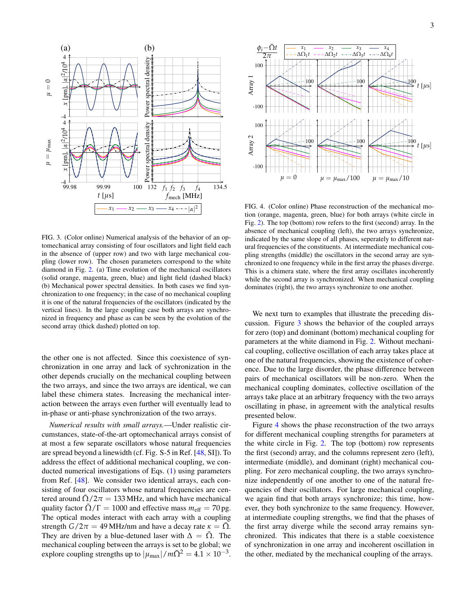

<span id="page-2-0"></span>FIG. 3. (Color online) Numerical analysis of the behavior of an optomechanical array consisting of four oscillators and light field each in the absence of (upper row) and two with large mechanical coupling (lower row). The chosen parameters correspond to the white diamond in Fig. [2.](#page-1-0) (a) Time evolution of the mechanical oscillators (solid orange, magenta, green, blue) and light field (dashed black) (b) Mechanical power spectral densities. In both cases we find synchronization to one frequency; in the case of no mechanical coupling it is one of the natural frequencies of the oscillators (indicated by the vertical lines). In the large coupling case both arrays are synchronized in frequency and phase as can be seen by the evolution of the second array (thick dashed) plotted on top.

the other one is not affected. Since this coexistence of synchronization in one array and lack of sychronization in the other depends crucially on the mechanical coupling between the two arrays, and since the two arrays are identical, we can label these chimera states. Increasing the mechanical interaction between the arrays even further will eventually lead to in-phase or anti-phase synchronization of the two arrays.

*Numerical results with small arrays.*—Under realistic circumstances, state-of-the-art optomechanical arrays consist of at most a few separate oscillators whose natural frequencies are spread beyond a linewidth (cf. Fig. S-5 in Ref. [\[48,](#page-4-38) SI]). To address the effect of additional mechanical coupling, we conducted numerical investigations of Eqs. [\(1\)](#page-1-1) using parameters from Ref. [\[48\]](#page-4-38). We consider two identical arrays, each consisting of four oscillators whose natural frequencies are centered around  $\Omega/2\pi = 133 \text{ MHz}$ , and which have mechanical quality factor  $\bar{\Omega}/\Gamma = 1000$  and effective mass  $m_{\text{eff}} = 70$  pg. The optical modes interact with each array with a coupling strength  $G/2\pi = 49$  MHz/nm and have a decay rate  $\kappa = \overline{\Omega}$ . They are driven by a blue-detuned laser with  $\Delta = \overline{\Omega}$ . The mechanical coupling between the arrays is set to be global; we explore coupling strengths up to  $|\mu_{\text{max}}|/m\bar{\Omega}^2 = 4.1 \times 10^{-3}$ .



<span id="page-2-1"></span>FIG. 4. (Color online) Phase reconstruction of the mechanical motion (orange, magenta, green, blue) for both arrays (white circle in Fig. [2\)](#page-1-0). The top (bottom) row refers to the first (second) array. In the absence of mechanical coupling (left), the two arrays synchronize, indicated by the same slope of all phases, seperately to different natural frequencies of the constituents. At intermediate mechanical coupling strengths (middle) the oscillators in the second array are synchronized to one frequency while in the first array the phases diverge. This is a chimera state, where the first array oscillates incoherently while the second array is synchronized. When mechanical coupling dominates (right), the two arrays synchronize to one another.

We next turn to examples that illustrate the preceding discussion. Figure [3](#page-2-0) shows the behavior of the coupled arrays for zero (top) and dominant (bottom) mechanical coupling for parameters at the white diamond in Fig. [2.](#page-1-0) Without mechanical coupling, collective oscillation of each array takes place at one of the natural frequencies, showing the existence of coherence. Due to the large disorder, the phase difference between pairs of mechanical oscillators will be non-zero. When the mechanical coupling dominates, collective oscillation of the arrays take place at an arbitrary frequency with the two arrays oscillating in phase, in agreement with the analytical results presented below.

Figure [4](#page-2-1) shows the phase reconstruction of the two arrays for different mechanical coupling strengths for parameters at the white circle in Fig. [2.](#page-1-0) The top (bottom) row represents the first (second) array, and the columns represent zero (left), intermediate (middle), and dominant (right) mechanical coupling. For zero mechanical coupling, the two arrays synchronize independently of one another to one of the natural frequencies of their oscillators. For large mechanical coupling, we again find that both arrays synchronize; this time, however, they both synchronize to the same frequency. However, at intermediate coupling strengths, we find that the phases of the first array diverge while the second array remains synchronized. This indicates that there is a stable coexistence of synchronization in one array and incoherent oscillation in the other, mediated by the mechanical coupling of the arrays.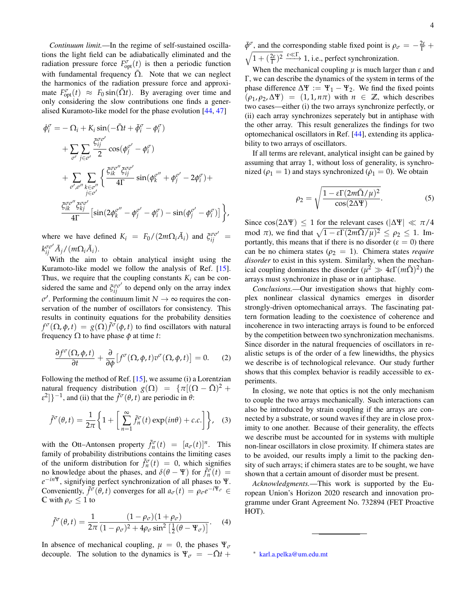*Continuum limit.*—In the regime of self-sustained oscillations the light field can be adiabatically eliminated and the radiation pressure force  $F_{\text{opt}}^{\sigma}(t)$  is then a periodic function with fundamental frequency  $\overline{\Omega}$ . Note that we can neglect the harmonics of the radiation pressure force and approximate  $F_{\text{opt}}^{\sigma}(t) \approx F_0 \sin(\bar{\Omega} t)$ . By averaging over time and only considering the slow contributions one finds a generalised Kuramoto-like model for the phase evolution [\[44,](#page-4-37) [47\]](#page-4-40)

$$
\begin{split} \dot{\phi}_{i}^{\sigma} &= -\Omega_{i} + K_{i} \sin(-\bar{\Omega}t + \tilde{\phi}_{i}^{\sigma} - \phi_{i}^{\sigma}) \\ &+ \sum_{\sigma'} \sum_{j \in \sigma'} \frac{\xi_{ij}^{\sigma \sigma'}}{2} \cos(\phi_{j}^{\sigma'} - \phi_{i}^{\sigma}) \\ &+ \sum_{\sigma', \sigma''} \sum_{k \in \sigma''} \left\{ \frac{\xi_{ik}^{\sigma \sigma''} \xi_{ij}^{\sigma \sigma'}}{4\Gamma} \sin(\phi_{k}^{\sigma''} + \phi_{j}^{\sigma'} - 2\phi_{i}^{\sigma}) + \frac{\xi_{ik}^{\sigma \sigma''} \xi_{\sigma\sigma'}}{4\Gamma} \left[ \sin(2\phi_{k}^{\sigma''} - \phi_{j}^{\sigma'} - \phi_{i}^{\sigma}) - \sin(\phi_{j}^{\sigma'} - \phi_{i}^{\sigma}) \right] \right\}, \end{split}
$$

where we have defined  $K_i = F_0/(2m\Omega_i \tilde{A}_i)$  and  $\tilde{\zeta}_{ij}^{\sigma\sigma'}$  $k_{ij}^{\sigma\sigma'}\tilde{A}_j/(m\Omega_i\tilde{A}_i).$ 

With the aim to obtain analytical insight using the Kuramoto-like model we follow the analysis of Ref. [\[15\]](#page-4-41). Thus, we require that the coupling constants  $K_i$  can be considered the same and  $\zeta_{ij}^{\sigma\sigma'}$  to depend only on the array index  $\sigma'$ . Performing the continuum limit  $N \to \infty$  requires the conservation of the number of oscillators for consistency. This results in continuity equations for the probability densities *f*<sup> $σ$ </sup>(Ω,  $φ$ , *t*) =  $g(Ω)$ *f* $^σ$ ( $φ$ , *t*) to find oscillators with natural frequency  $\Omega$  to have phase  $\phi$  at time *t*:

$$
\frac{\partial f^{\sigma}(\Omega,\phi,t)}{\partial t} + \frac{\partial}{\partial \phi} \left[ f^{\sigma}(\Omega,\phi,t) v^{\sigma}(\Omega,\phi,t) \right] = 0.
$$
 (2)

Following the method of Ref. [\[15\]](#page-4-41), we assume (i) a Lorentzian natural frequency distribution  $g(\Omega) = {\pi [(\Omega - \bar{\Omega})^2 +$  $\mathcal{E}^2$ ] $\}^{-1}$ , and (ii) that the  $\tilde{f}^{\sigma}(\theta, t)$  are periodic in  $\theta$ :

$$
\tilde{f}^{\sigma}(\theta, t) = \frac{1}{2\pi} \bigg\{ 1 + \bigg[ \sum_{n=1}^{\infty} \tilde{f}_n^{\sigma}(t) \exp(in\theta) + c.c. \bigg] \bigg\}, \quad (3)
$$

with the Ott–Antonsen property  $\tilde{f}_n^{\sigma}(t) = [a_{\sigma}(t)]^n$ . This family of probability distributions contains the limiting cases of the uniform distribution for  $\tilde{f}_n^{\sigma}(t) = 0$ , which signifies no knowledge about the phases, and  $\delta(\theta - \Psi)$  for  $\tilde{f}_n^{\sigma}(t) =$ *e* <sup>−</sup>*in*Ψ, signifying perfect synchronization of all phases to Ψ. Conveniently,  $\tilde{f}^{\sigma}(\theta, t)$  converges for all  $a_{\sigma}(t) = \rho_{\sigma}e^{-i\Psi_{\sigma}} \in$ **C** with  $\rho_{\sigma} \leq 1$  to

$$
\tilde{f}^{\sigma}(\theta, t) = \frac{1}{2\pi} \frac{(1 - \rho_{\sigma})(1 + \rho_{\sigma})}{(1 - \rho_{\sigma})^2 + 4\rho_{\sigma} \sin^2 \left[\frac{1}{2}(\theta - \Psi_{\sigma})\right]}.
$$
 (4)

In absence of mechanical coupling,  $\mu = 0$ , the phases  $\Psi_{\sigma}$ decouple. The solution to the dynamics is  $\Psi_{\sigma} = -\bar{\Omega}t +$ 

 $\bar{\phi}^{\sigma}$ , and the corresponding stable fixed point is  $\rho_{\sigma} = -\frac{2\varepsilon}{\Gamma} + \frac{2\varepsilon}{\Gamma}$  $\sqrt{1 + (\frac{2\varepsilon}{\Gamma})^2} \xrightarrow{\varepsilon \ll \Gamma} 1$ , i.e., perfect synchronization.

When the mechanical coupling  $\mu$  is much larger than  $\varepsilon$  and Γ, we can describe the dynamics of the system in terms of the phase difference  $\Delta \Psi := \Psi_1 - \Psi_2$ . We find the fixed points  $(\rho_1, \rho_2, \Delta \Psi) = (1, 1, n\pi)$  with  $n \in \mathbb{Z}$ , which describes two cases—either (i) the two arrays synchronize perfectly, or (ii) each array synchronizes seperately but in antiphase with the other array. This result generalizes the findings for two optomechanical oscillators in Ref. [\[44\]](#page-4-37), extending its applicability to two arrays of oscillators.

If all terms are relevant, analytical insight can be gained by assuming that array 1, without loss of generality, is synchronized ( $\rho_1 = 1$ ) and stays synchronized ( $\dot{\rho}_1 = 0$ ). We obtain

$$
\rho_2 = \sqrt{\frac{1 - \varepsilon \Gamma (2m\bar{\Omega}/\mu)^2}{\cos(2\Delta \Psi)}}.
$$
\n(5)

Since  $\cos(2\Delta\Psi) \leq 1$  for the relevant cases ( $|\Delta\Psi| \ll \pi/4$ mod  $\pi$ ), we find that  $\sqrt{1 - \varepsilon \Gamma(2m\bar{\Omega}/\mu)^2} \le \rho_2 \le 1$ . Importantly, this means that if there is no disorder ( $\varepsilon = 0$ ) there can be no chimera states ( $\rho_2 = 1$ ). Chimera states *require disorder* to exist in this system. Similarly, when the mechanical coupling dominates the disorder  $(\mu^2 \gg 4 \varepsilon \Gamma(m\bar{\Omega})^2)$  the arrays must synchronize in phase or in antiphase.

*Conclusions.*—Our investigation shows that highly complex nonlinear classical dynamics emerges in disorder strongly-driven optomechanical arrays. The fascinating pattern formation leading to the coexistence of coherence and incoherence in two interacting arrays is found to be enforced by the competition between two synchronization mechanisms. Since disorder in the natural frequencies of oscillators in realistic setups is of the order of a few linewidths, the physics we describe is of technological relevance. Our study further shows that this complex behavior is readily accessible to experiments.

In closing, we note that optics is not the only mechanism to couple the two arrays mechanically. Such interactions can also be introduced by strain coupling if the arrays are connected by a substrate, or sound waves if they are in close proximity to one another. Because of their generality, the effects we describe must be accounted for in systems with multiple non-linear oscillators in close proximity. If chimera states are to be avoided, our results imply a limit to the packing density of such arrays; if chimera states are to be sought, we have shown that a certain amount of disorder must be present.

*Acknowledgments.*—This work is supported by the European Union's Horizon 2020 research and innovation programme under Grant Agreement No. 732894 (FET Proactive HOT).

<span id="page-3-0"></span>∗ [karl.a.pelka@um.edu.mt](mailto:karl.a.pelka@um.edu.mt)